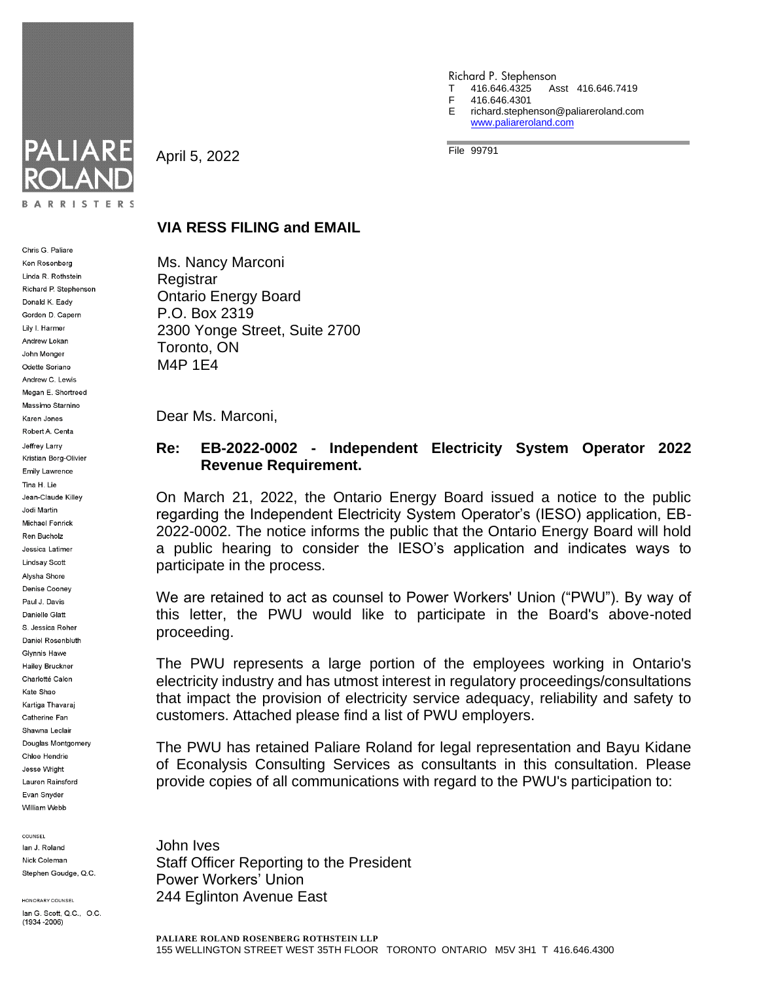

Chris G. Paliare

Ken Rosenberg Linda R. Rothstein Richard P. Stephenson Donald K. Eady Gordon D. Capern Lily I. Harmer Andrew Lokan John Monger Odette Soriano Andrew C. Lewis Megan E. Shortreed Massimo Starnino Karen Jones Robert A. Centa Jeffrey Larry Kristian Borg-Olivier **Emily Lawrence** Tina H. Lie Jean-Claude Killey Jodi Martin Michael Fenrick Ren Bucholz Jessica Latimer Lindsay Scott Alysha Shore Denise Cooney Paul J. Davis Danielle Glatt S. Jessica Roher Daniel Rosenbluth Glynnis Hawe Hailey Bruckner Charlotté Calon Kate Shao Kartiga Thavaraj Catherine Fan Shawna Leclair Douglas Montgomery Chloe Hendrie Jesse Wright Lauren Rainsford Evan Snyder William Webb

COUNSEL lan J. Roland Nick Coleman Stephen Goudge, Q.C.

HONORARY COUNSEL lan G. Scott, Q.C., O.C.  $(1934 - 2006)$ 

April 5, 2022

- Richard P. Stephenson T 416.646.4325 Asst 416.646.7419
- 416.646.4301
- E richard.stephenson@paliareroland.com [www.paliareroland.com](http://www.paliareroland.com/)

File 99791

## **VIA RESS FILING and EMAIL**

Ms. Nancy Marconi **Registrar** Ontario Energy Board P.O. Box 2319 2300 Yonge Street, Suite 2700 Toronto, ON M4P 1E4

Dear Ms. Marconi,

## **Re: EB-2022-0002 - Independent Electricity System Operator 2022 Revenue Requirement.**

On March 21, 2022, the Ontario Energy Board issued a notice to the public regarding the Independent Electricity System Operator's (IESO) application, EB-2022-0002. The notice informs the public that the Ontario Energy Board will hold a public hearing to consider the IESO's application and indicates ways to participate in the process.

We are retained to act as counsel to Power Workers' Union ("PWU"). By way of this letter, the PWU would like to participate in the Board's above-noted proceeding.

The PWU represents a large portion of the employees working in Ontario's electricity industry and has utmost interest in regulatory proceedings/consultations that impact the provision of electricity service adequacy, reliability and safety to customers. Attached please find a list of PWU employers.

The PWU has retained Paliare Roland for legal representation and Bayu Kidane of Econalysis Consulting Services as consultants in this consultation. Please provide copies of all communications with regard to the PWU's participation to:

John Ives Staff Officer Reporting to the President Power Workers' Union 244 Eglinton Avenue East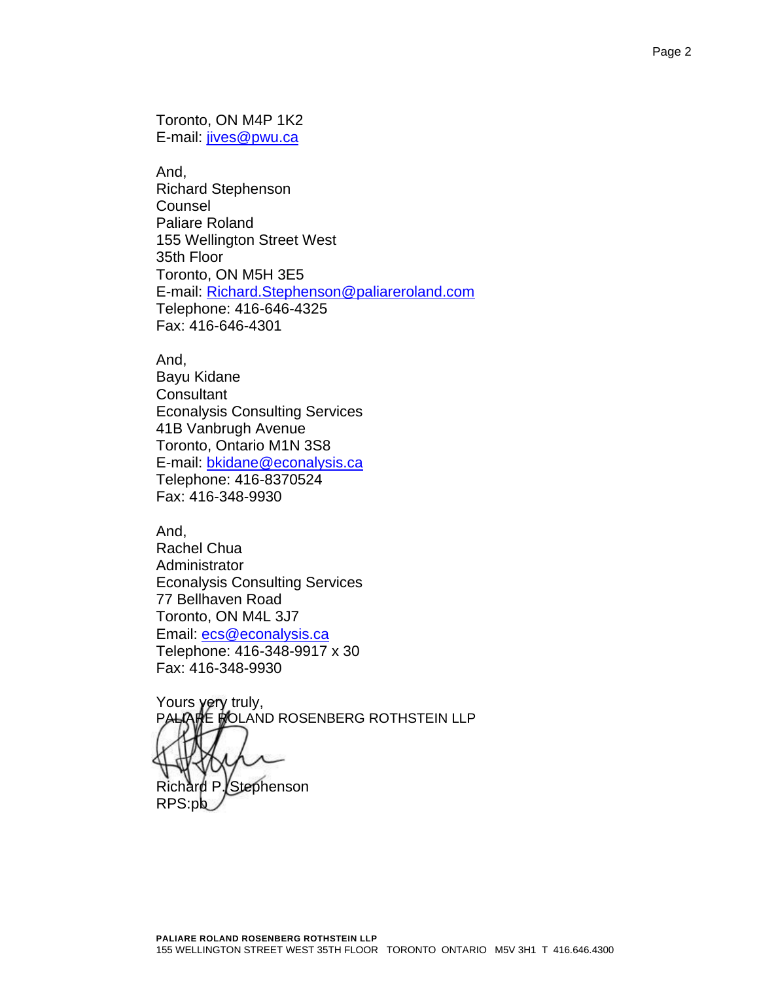Toronto, ON M4P 1K2 E-mail: [jives@pwu.ca](mailto:jives@pwu.ca)

And, Richard Stephenson **Counsel** Paliare Roland 155 Wellington Street West 35th Floor Toronto, ON M5H 3E5 E-mail: [Richard.Stephenson@paliareroland.com](mailto:Richard.Stephenson@paliareroland.com) Telephone: 416-646-4325 Fax: 416-646-4301

And,

Bayu Kidane **Consultant** Econalysis Consulting Services 41B Vanbrugh Avenue Toronto, Ontario M1N 3S8 E-mail: [bkidane@econalysis.ca](mailto:bkidane@econalysis.ca) Telephone: 416-8370524 Fax: 416-348-9930

And, Rachel Chua Administrator Econalysis Consulting Services 77 Bellhaven Road Toronto, ON M4L 3J7 Email: [ecs@econalysis.ca](mailto:ecs@econalysis.ca) Telephone: 416-348-9917 x 30 Fax: 416-348-9930

Yours **yery** truly, **E MOLAND ROSENBERG ROTHSTEIN LLP** d P. Stephenson RPS:pb